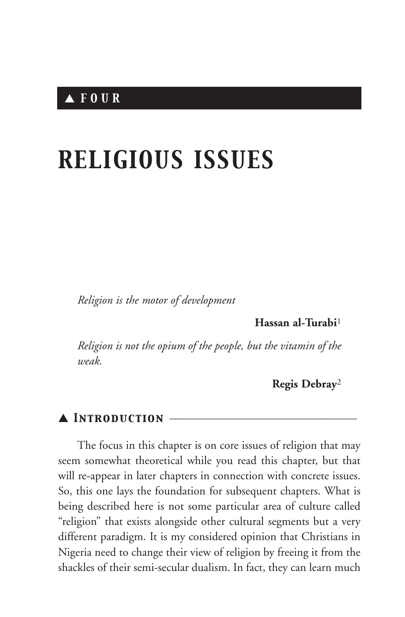# *RELIGIOUS ISSUES*

*Religion is the motor of development*

**Hassan al-Turabi**<sup>1</sup>

*Religion is not the opium of the people, but the vitamin of the weak.*

**Regis Debray**<sup>2</sup>

### ▲ *Introduction* \_\_\_\_\_\_\_\_\_\_\_\_\_\_\_\_\_\_\_\_\_\_\_\_\_\_\_\_\_\_\_\_\_\_\_

The focus in this chapter is on core issues of religion that may seem somewhat theoretical while you read this chapter, but that will re-appear in later chapters in connection with concrete issues. So, this one lays the foundation for subsequent chapters. What is being described here is not some particular area of culture called "religion" that exists alongside other cultural segments but a very different paradigm. It is my considered opinion that Christians in Nigeria need to change their view of religion by freeing it from the shackles of their semi-secular dualism. In fact, they can learn much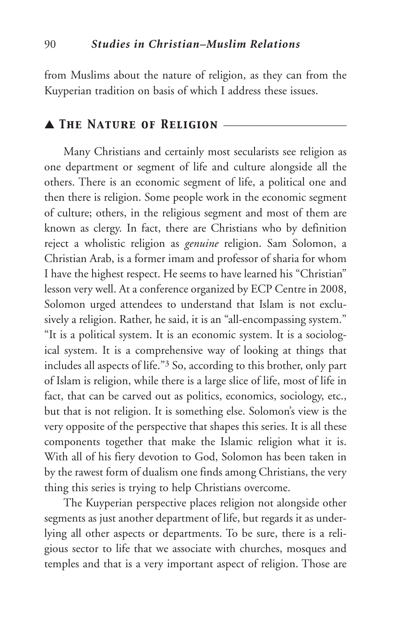from Muslims about the nature of religion, as they can from the Kuyperian tradition on basis of which I address these issues.

#### ▲ *The Nature of Religion* \_\_\_\_\_\_\_\_\_\_\_\_\_\_\_\_\_\_\_\_\_\_\_

Many Christians and certainly most secularists see religion as one department or segment of life and culture alongside all the others. There is an economic segment of life, a political one and then there is religion. Some people work in the economic segment of culture; others, in the religious segment and most of them are known as clergy. In fact, there are Christians who by definition reject a wholistic religion as *genuine* religion. Sam Solomon, a Christian Arab, is a former imam and professor of sharia for whom I have the highest respect. He seems to have learned his "Christian" lesson very well. At a conference organized by ECP Centre in 2008, Solomon urged attendees to understand that Islam is not exclusively a religion. Rather, he said, it is an "all-encompassing system." "It is a political system. It is an economic system. It is a sociological system. It is a comprehensive way of looking at things that includes all aspects of life."3 So, according to this brother, only part of Islam is religion, while there is a large slice of life, most of life in fact, that can be carved out as politics, economics, sociology, etc., but that is not religion. It is something else. Solomon's view is the very opposite of the perspective that shapes this series. It is all these components together that make the Islamic religion what it is. With all of his fiery devotion to God, Solomon has been taken in by the rawest form of dualism one finds among Christians, the very thing this series is trying to help Christians overcome.

The Kuyperian perspective places religion not alongside other segments as just another department of life, but regards it as underlying all other aspects or departments. To be sure, there is a religious sector to life that we associate with churches, mosques and temples and that is a very important aspect of religion. Those are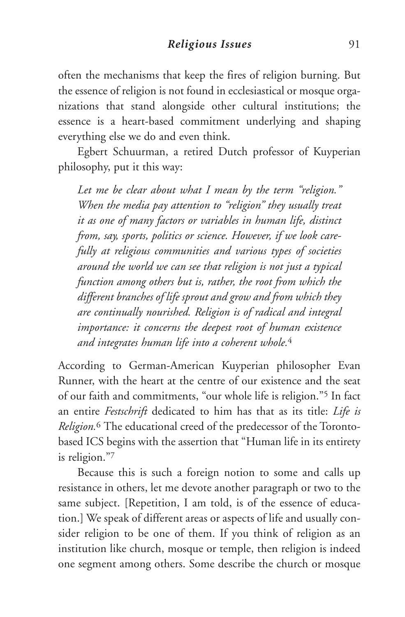often the mechanisms that keep the fires of religion burning. But the essence of religion is not found in ecclesiastical or mosque organizations that stand alongside other cultural institutions; the essence is a heart-based commitment underlying and shaping everything else we do and even think.

Egbert Schuurman, a retired Dutch professor of Kuyperian philosophy, put it this way:

*Let me be clear about what I mean by the term "religion." When the media pay attention to "religion" they usually treat it as one of many factors or variables in human life, distinct from, say, sports, politics or science. However, if we look carefully at religious communities and various types of societies around the world we can see that religion is not just a typical function among others but is, rather, the root from which the different branches of life sprout and grow and from which they are continually nourished. Religion is of radical and integral importance: it concerns the deepest root of human existence and integrates human life into a coherent whole.*<sup>4</sup>

According to German-American Kuyperian philosopher Evan Runner, with the heart at the centre of our existence and the seat of our faith and commitments, "our whole life is religion."5 In fact an entire *Festschrift* dedicated to him has that as its title: *Life is Religion.*<sup>6</sup> The educational creed of the predecessor of the Torontobased ICS begins with the assertion that "Human life in its entirety is religion."7

Because this is such a foreign notion to some and calls up resistance in others, let me devote another paragraph or two to the same subject. [Repetition, I am told, is of the essence of education.] We speak of different areas or aspects of life and usually consider religion to be one of them. If you think of religion as an institution like church, mosque or temple, then religion is indeed one segment among others. Some describe the church or mosque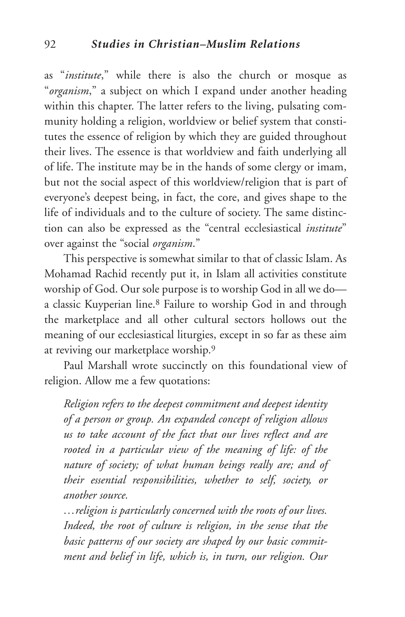as "*institute*," while there is also the church or mosque as "*organism*," a subject on which I expand under another heading within this chapter. The latter refers to the living, pulsating community holding a religion, worldview or belief system that constitutes the essence of religion by which they are guided throughout their lives. The essence is that worldview and faith underlying all of life. The institute may be in the hands of some clergy or imam, but not the social aspect of this worldview/religion that is part of everyone's deepest being, in fact, the core, and gives shape to the life of individuals and to the culture of society. The same distinction can also be expressed as the "central ecclesiastical *institute*" over against the "social *organism*."

This perspective is somewhat similar to that of classic Islam. As Mohamad Rachid recently put it, in Islam all activities constitute worship of God. Our sole purpose is to worship God in all we do a classic Kuyperian line.8 Failure to worship God in and through the marketplace and all other cultural sectors hollows out the meaning of our ecclesiastical liturgies, except in so far as these aim at reviving our marketplace worship.9

Paul Marshall wrote succinctly on this foundational view of religion. Allow me a few quotations:

*Religion refers to the deepest commitment and deepest identity of a person or group. An expanded concept of religion allows us to take account of the fact that our lives reflect and are rooted in a particular view of the meaning of life: of the nature of society; of what human beings really are; and of their essential responsibilities, whether to self, society, or another source.*

*…religion is particularly concerned with the roots of our lives. Indeed, the root of culture is religion, in the sense that the basic patterns of our society are shaped by our basic commitment and belief in life, which is, in turn, our religion. Our*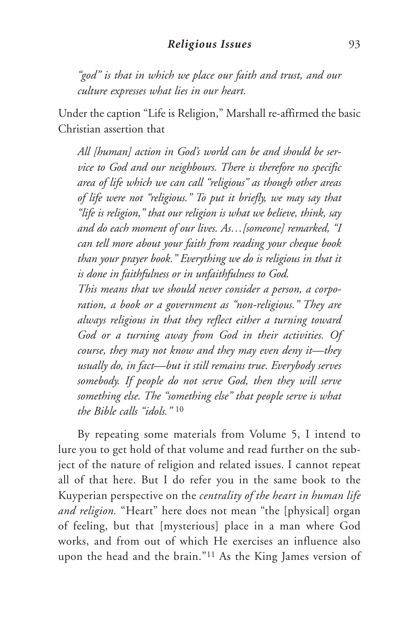*"god" is that in which we place our faith and trust, and our culture expresses what lies in our heart.*

Under the caption "Life is Religion," Marshall re-affirmed the basic Christian assertion that

*All [human] action in God's world can be and should be service to God and our neighbours. There is therefore no specific area of life which we can call "religious" as though other areas of life were not "religious." To put it briefly, we may say that "life is religion," that our religion is what we believe, think, say and do each moment of our lives. As…[someone] remarked, "I can tell more about your faith from reading your cheque book than your prayer book." Everything we do is religious in that it is done in faithfulness or in unfaithfulness to God.*

*This means that we should never consider a person, a corporation, a book or a government as "non-religious." They are always religious in that they reflect either a turning toward God or a turning away from God in their activities. Of course, they may not know and they may even deny it—they usually do, in fact—but it still remains true. Everybody serves somebody. If people do not serve God, then they will serve something else. The "something else" that people serve is what the Bible calls "idols."* <sup>10</sup>

By repeating some materials from Volume 5, I intend to lure you to get hold of that volume and read further on the subject of the nature of religion and related issues. I cannot repeat all of that here. But I do refer you in the same book to the Kuyperian perspective on the *centrality of the heart in human life and religion.* "Heart" here does not mean "the [physical] organ of feeling, but that [mysterious] place in a man where God works, and from out of which He exercises an influence also upon the head and the brain."11 As the King James version of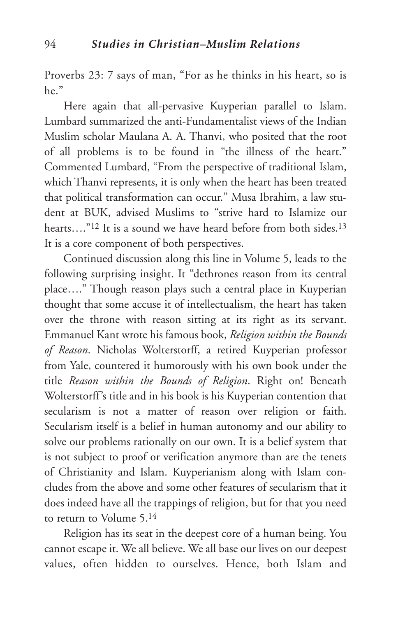Proverbs 23: 7 says of man, "For as he thinks in his heart, so is he"

Here again that all-pervasive Kuyperian parallel to Islam. Lumbard summarized the anti-Fundamentalist views of the Indian Muslim scholar Maulana A. A. Thanvi, who posited that the root of all problems is to be found in "the illness of the heart." Commented Lumbard, "From the perspective of traditional Islam, which Thanvi represents, it is only when the heart has been treated that political transformation can occur." Musa Ibrahim, a law student at BUK, advised Muslims to "strive hard to Islamize our hearts....<sup>"12</sup> It is a sound we have heard before from both sides.<sup>13</sup> It is a core component of both perspectives.

Continued discussion along this line in Volume 5, leads to the following surprising insight. It "dethrones reason from its central place…." Though reason plays such a central place in Kuyperian thought that some accuse it of intellectualism, the heart has taken over the throne with reason sitting at its right as its servant. Emmanuel Kant wrote his famous book, *Religion within the Bounds of Reason*. Nicholas Wolterstorff, a retired Kuyperian professor from Yale, countered it humorously with his own book under the title *Reason within the Bounds of Religion*. Right on! Beneath Wolterstorff's title and in his book is his Kuyperian contention that secularism is not a matter of reason over religion or faith. Secularism itself is a belief in human autonomy and our ability to solve our problems rationally on our own. It is a belief system that is not subject to proof or verification anymore than are the tenets of Christianity and Islam. Kuyperianism along with Islam concludes from the above and some other features of secularism that it does indeed have all the trappings of religion, but for that you need to return to Volume 5.14

Religion has its seat in the deepest core of a human being. You cannot escape it. We all believe. We all base our lives on our deepest values, often hidden to ourselves. Hence, both Islam and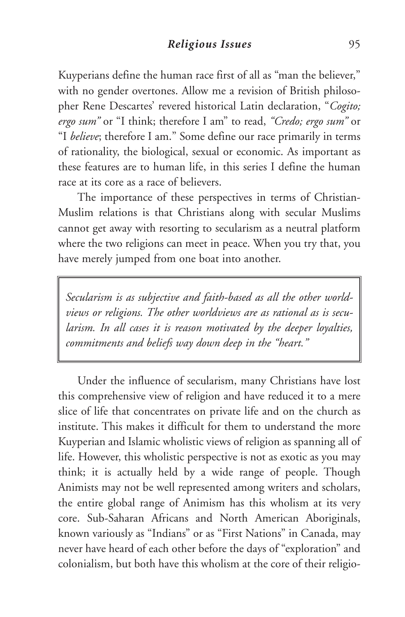Kuyperians define the human race first of all as "man the believer," with no gender overtones. Allow me a revision of British philosopher Rene Descartes' revered historical Latin declaration, "*Cogito; ergo sum"* or "I think; therefore I am" to read, *"Credo; ergo sum"* or "I *believe*; therefore I am." Some define our race primarily in terms of rationality, the biological, sexual or economic. As important as these features are to human life, in this series I define the human race at its core as a race of believers.

The importance of these perspectives in terms of Christian-Muslim relations is that Christians along with secular Muslims cannot get away with resorting to secularism as a neutral platform where the two religions can meet in peace. When you try that, you have merely jumped from one boat into another.

*Secularism is as subjective and faith-based as all the other worldviews or religions. The other worldviews are as rational as is secularism. In all cases it is reason motivated by the deeper loyalties, commitments and beliefs way down deep in the "heart."*

Under the influence of secularism, many Christians have lost this comprehensive view of religion and have reduced it to a mere slice of life that concentrates on private life and on the church as institute. This makes it difficult for them to understand the more Kuyperian and Islamic wholistic views of religion as spanning all of life. However, this wholistic perspective is not as exotic as you may think; it is actually held by a wide range of people. Though Animists may not be well represented among writers and scholars, the entire global range of Animism has this wholism at its very core. Sub-Saharan Africans and North American Aboriginals, known variously as "Indians" or as "First Nations" in Canada, may never have heard of each other before the days of "exploration" and colonialism, but both have this wholism at the core of their religio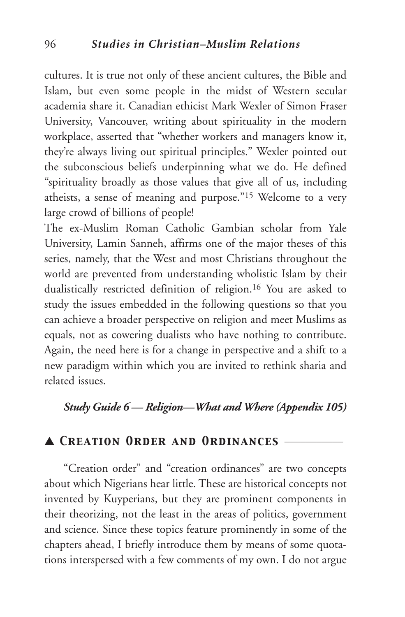cultures. It is true not only of these ancient cultures, the Bible and Islam, but even some people in the midst of Western secular academia share it. Canadian ethicist Mark Wexler of Simon Fraser University, Vancouver, writing about spirituality in the modern workplace, asserted that "whether workers and managers know it, they're always living out spiritual principles." Wexler pointed out the subconscious beliefs underpinning what we do. He defined "spirituality broadly as those values that give all of us, including atheists, a sense of meaning and purpose."15 Welcome to a very large crowd of billions of people!

The ex-Muslim Roman Catholic Gambian scholar from Yale University, Lamin Sanneh, affirms one of the major theses of this series, namely, that the West and most Christians throughout the world are prevented from understanding wholistic Islam by their dualistically restricted definition of religion.16 You are asked to study the issues embedded in the following questions so that you can achieve a broader perspective on religion and meet Muslims as equals, not as cowering dualists who have nothing to contribute. Again, the need here is for a change in perspective and a shift to a new paradigm within which you are invited to rethink sharia and related issues.

## *Study Guide 6 — Religion—What and Where (Appendix 105)*

### ▲ *Creation Order and Ordinances* \_\_\_\_\_\_\_\_\_\_\_

"Creation order" and "creation ordinances" are two concepts about which Nigerians hear little. These are historical concepts not invented by Kuyperians, but they are prominent components in their theorizing, not the least in the areas of politics, government and science. Since these topics feature prominently in some of the chapters ahead, I briefly introduce them by means of some quotations interspersed with a few comments of my own. I do not argue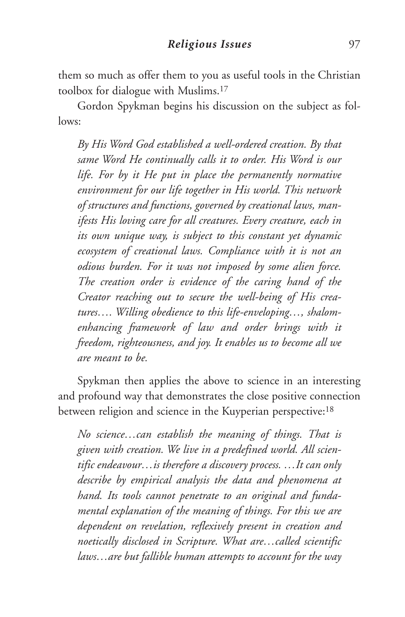them so much as offer them to you as useful tools in the Christian toolbox for dialogue with Muslims.17

Gordon Spykman begins his discussion on the subject as follows:

*By His Word God established a well-ordered creation. By that same Word He continually calls it to order. His Word is our life. For by it He put in place the permanently normative environment for our life together in His world. This network of structures and functions, governed by creational laws, manifests His loving care for all creatures. Every creature, each in its own unique way, is subject to this constant yet dynamic ecosystem of creational laws. Compliance with it is not an odious burden. For it was not imposed by some alien force. The creation order is evidence of the caring hand of the Creator reaching out to secure the well-being of His creatures…. Willing obedience to this life-enveloping…, shalomenhancing framework of law and order brings with it freedom, righteousness, and joy. It enables us to become all we are meant to be.*

Spykman then applies the above to science in an interesting and profound way that demonstrates the close positive connection between religion and science in the Kuyperian perspective:18

*No science…can establish the meaning of things. That is given with creation. We live in a predefined world. All scientific endeavour…is therefore a discovery process. …It can only describe by empirical analysis the data and phenomena at hand. Its tools cannot penetrate to an original and fundamental explanation of the meaning of things. For this we are dependent on revelation, reflexively present in creation and noetically disclosed in Scripture. What are…called scientific laws…are but fallible human attempts to account for the way*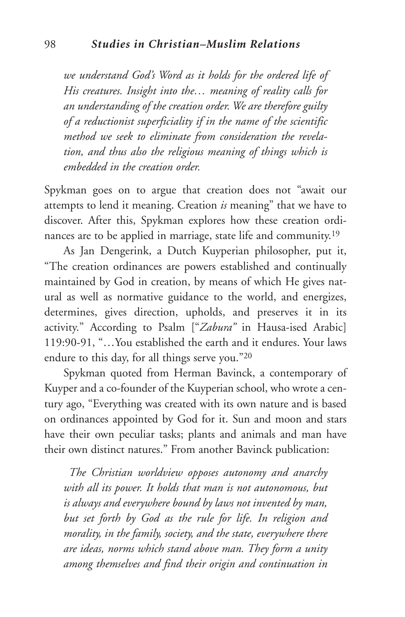*we understand God's Word as it holds for the ordered life of His creatures. Insight into the… meaning of reality calls for an understanding of the creation order. We are therefore guilty of a reductionist superficiality if in the name of the scientific method we seek to eliminate from consideration the revelation, and thus also the religious meaning of things which is embedded in the creation order.*

Spykman goes on to argue that creation does not "await our attempts to lend it meaning. Creation *is* meaning" that we have to discover. After this, Spykman explores how these creation ordinances are to be applied in marriage, state life and community.19

As Jan Dengerink, a Dutch Kuyperian philosopher, put it, "The creation ordinances are powers established and continually maintained by God in creation, by means of which He gives natural as well as normative guidance to the world, and energizes, determines, gives direction, upholds, and preserves it in its activity." According to Psalm ["*Zabura"* in Hausa-ised Arabic] 119:90-91, "…You established the earth and it endures. Your laws endure to this day, for all things serve you."20

Spykman quoted from Herman Bavinck, a contemporary of Kuyper and a co-founder of the Kuyperian school, who wrote a century ago, "Everything was created with its own nature and is based on ordinances appointed by God for it. Sun and moon and stars have their own peculiar tasks; plants and animals and man have their own distinct natures." From another Bavinck publication:

*The Christian worldview opposes autonomy and anarchy with all its power. It holds that man is not autonomous, but is always and everywhere bound by laws not invented by man, but set forth by God as the rule for life. In religion and morality, in the family, society, and the state, everywhere there are ideas, norms which stand above man. They form a unity among themselves and find their origin and continuation in*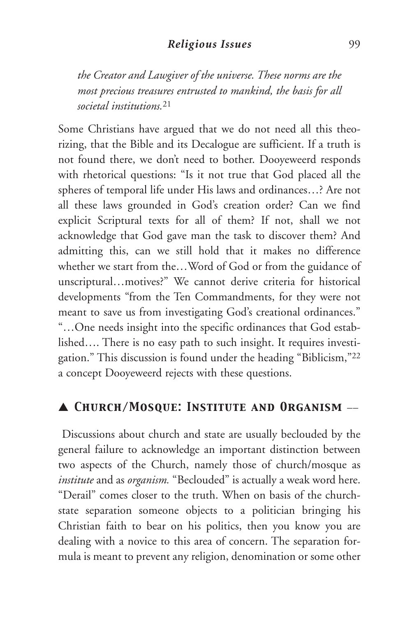#### *Religious Issues* 99

*the Creator and Lawgiver of the universe. These norms are the most precious treasures entrusted to mankind, the basis for all societal institutions.*<sup>21</sup>

Some Christians have argued that we do not need all this theorizing, that the Bible and its Decalogue are sufficient. If a truth is not found there, we don't need to bother. Dooyeweerd responds with rhetorical questions: "Is it not true that God placed all the spheres of temporal life under His laws and ordinances…? Are not all these laws grounded in God's creation order? Can we find explicit Scriptural texts for all of them? If not, shall we not acknowledge that God gave man the task to discover them? And admitting this, can we still hold that it makes no difference whether we start from the…Word of God or from the guidance of unscriptural…motives?" We cannot derive criteria for historical developments "from the Ten Commandments, for they were not meant to save us from investigating God's creational ordinances." "…One needs insight into the specific ordinances that God established…. There is no easy path to such insight. It requires investigation." This discussion is found under the heading "Biblicism,"22 a concept Dooyeweerd rejects with these questions.

## ▲ *Church/Mosque: Institute and Organism* \_\_

Discussions about church and state are usually beclouded by the general failure to acknowledge an important distinction between two aspects of the Church, namely those of church/mosque as *institute* and as *organism.* "Beclouded" is actually a weak word here. "Derail" comes closer to the truth. When on basis of the churchstate separation someone objects to a politician bringing his Christian faith to bear on his politics, then you know you are dealing with a novice to this area of concern. The separation formula is meant to prevent any religion, denomination or some other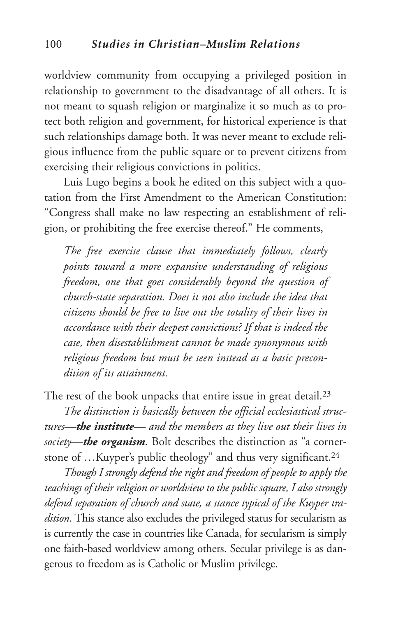worldview community from occupying a privileged position in relationship to government to the disadvantage of all others. It is not meant to squash religion or marginalize it so much as to protect both religion and government, for historical experience is that such relationships damage both. It was never meant to exclude religious influence from the public square or to prevent citizens from exercising their religious convictions in politics.

Luis Lugo begins a book he edited on this subject with a quotation from the First Amendment to the American Constitution: "Congress shall make no law respecting an establishment of religion, or prohibiting the free exercise thereof." He comments,

*The free exercise clause that immediately follows, clearly points toward a more expansive understanding of religious freedom, one that goes considerably beyond the question of church-state separation. Does it not also include the idea that citizens should be free to live out the totality of their lives in accordance with their deepest convictions? If that is indeed the case, then disestablishment cannot be made synonymous with religious freedom but must be seen instead as a basic precondition of its attainment.*

The rest of the book unpacks that entire issue in great detail.<sup>23</sup>

*The distinction is basically between the official ecclesiastical structures—the institute— and the members as they live out their lives in society—the organism.* Bolt describes the distinction as "a cornerstone of …Kuyper's public theology" and thus very significant.24

*Though I strongly defend the right and freedom of people to apply the teachings of their religion or worldview to the public square, I also strongly defend separation of church and state, a stance typical of the Kuyper tradition.* This stance also excludes the privileged status for secularism as is currently the case in countries like Canada, for secularism is simply one faith-based worldview among others. Secular privilege is as dangerous to freedom as is Catholic or Muslim privilege.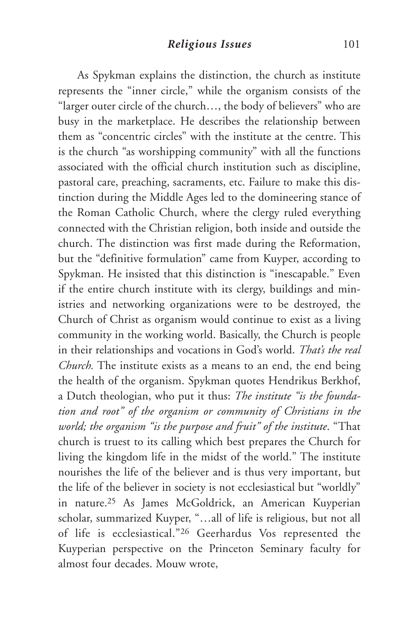As Spykman explains the distinction, the church as institute represents the "inner circle," while the organism consists of the "larger outer circle of the church…, the body of believers" who are busy in the marketplace. He describes the relationship between them as "concentric circles" with the institute at the centre. This is the church "as worshipping community" with all the functions associated with the official church institution such as discipline, pastoral care, preaching, sacraments, etc. Failure to make this distinction during the Middle Ages led to the domineering stance of the Roman Catholic Church, where the clergy ruled everything connected with the Christian religion, both inside and outside the church. The distinction was first made during the Reformation, but the "definitive formulation" came from Kuyper, according to Spykman. He insisted that this distinction is "inescapable." Even if the entire church institute with its clergy, buildings and ministries and networking organizations were to be destroyed, the Church of Christ as organism would continue to exist as a living community in the working world. Basically, the Church is people in their relationships and vocations in God's world. *That's the real Church.* The institute exists as a means to an end, the end being the health of the organism. Spykman quotes Hendrikus Berkhof, a Dutch theologian, who put it thus: *The institute "is the foundation and root" of the organism or community of Christians in the world; the organism "is the purpose and fruit" of the institute*. "That church is truest to its calling which best prepares the Church for living the kingdom life in the midst of the world." The institute nourishes the life of the believer and is thus very important, but the life of the believer in society is not ecclesiastical but "worldly" in nature.25 As James McGoldrick, an American Kuyperian scholar, summarized Kuyper, "…all of life is religious, but not all of life is ecclesiastical."26 Geerhardus Vos represented the Kuyperian perspective on the Princeton Seminary faculty for almost four decades. Mouw wrote,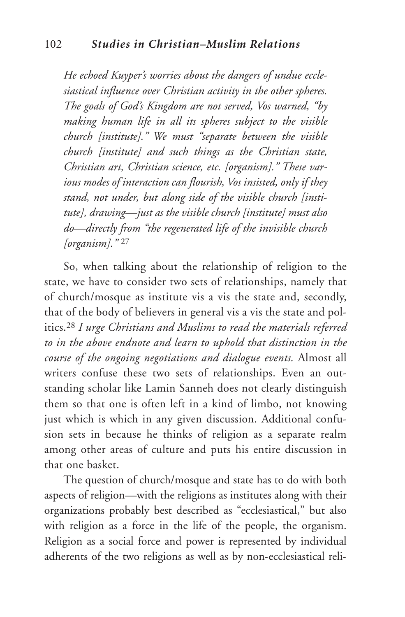*He echoed Kuyper's worries about the dangers of undue ecclesiastical influence over Christian activity in the other spheres. The goals of God's Kingdom are not served, Vos warned, "by making human life in all its spheres subject to the visible church [institute]." We must "separate between the visible church [institute] and such things as the Christian state, Christian art, Christian science, etc. [organism]." These various modes of interaction can flourish, Vos insisted, only if they stand, not under, but along side of the visible church [institute], drawing—just as the visible church [institute] must also do—directly from "the regenerated life of the invisible church [organism]."* <sup>27</sup>

So, when talking about the relationship of religion to the state, we have to consider two sets of relationships, namely that of church/mosque as institute vis a vis the state and, secondly, that of the body of believers in general vis a vis the state and politics.28 *I urge Christians and Muslims to read the materials referred to in the above endnote and learn to uphold that distinction in the course of the ongoing negotiations and dialogue events.* Almost all writers confuse these two sets of relationships. Even an outstanding scholar like Lamin Sanneh does not clearly distinguish them so that one is often left in a kind of limbo, not knowing just which is which in any given discussion. Additional confusion sets in because he thinks of religion as a separate realm among other areas of culture and puts his entire discussion in that one basket.

The question of church/mosque and state has to do with both aspects of religion—with the religions as institutes along with their organizations probably best described as "ecclesiastical," but also with religion as a force in the life of the people, the organism. Religion as a social force and power is represented by individual adherents of the two religions as well as by non-ecclesiastical reli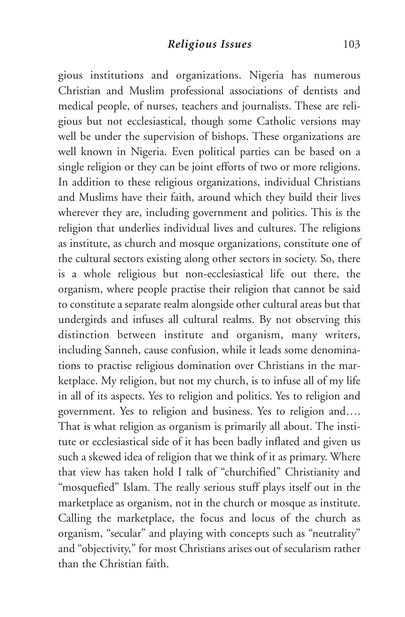gious institutions and organizations. Nigeria has numerous Christian and Muslim professional associations of dentists and medical people, of nurses, teachers and journalists. These are religious but not ecclesiastical, though some Catholic versions may well be under the supervision of bishops. These organizations are well known in Nigeria. Even political parties can be based on a single religion or they can be joint efforts of two or more religions. In addition to these religious organizations, individual Christians and Muslims have their faith, around which they build their lives wherever they are, including government and politics. This is the religion that underlies individual lives and cultures. The religions as institute, as church and mosque organizations, constitute one of the cultural sectors existing along other sectors in society. So, there is a whole religious but non-ecclesiastical life out there, the organism, where people practise their religion that cannot be said to constitute a separate realm alongside other cultural areas but that undergirds and infuses all cultural realms. By not observing this distinction between institute and organism, many writers, including Sanneh, cause confusion, while it leads some denominations to practise religious domination over Christians in the marketplace. My religion, but not my church, is to infuse all of my life in all of its aspects. Yes to religion and politics. Yes to religion and government. Yes to religion and business. Yes to religion and…. That is what religion as organism is primarily all about. The institute or ecclesiastical side of it has been badly inflated and given us such a skewed idea of religion that we think of it as primary. Where that view has taken hold I talk of "churchified" Christianity and "mosquefied" Islam. The really serious stuff plays itself out in the marketplace as organism, not in the church or mosque as institute. Calling the marketplace, the focus and locus of the church as organism, "secular" and playing with concepts such as "neutrality" and "objectivity," for most Christians arises out of secularism rather than the Christian faith.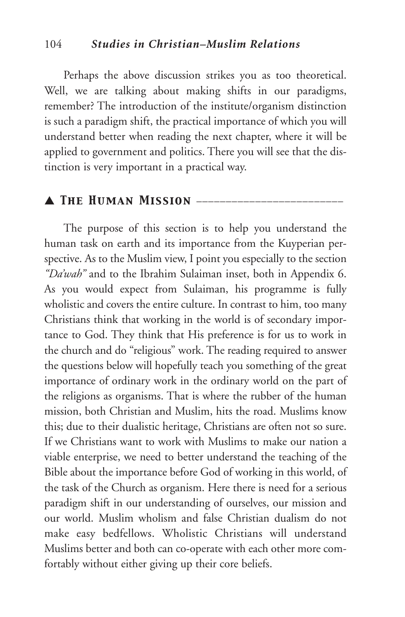#### 104 *Studies in Christian–Muslim Relations*

Perhaps the above discussion strikes you as too theoretical. Well, we are talking about making shifts in our paradigms, remember? The introduction of the institute/organism distinction is such a paradigm shift, the practical importance of which you will understand better when reading the next chapter, where it will be applied to government and politics. There you will see that the distinction is very important in a practical way.

## ▲ *The Human Mission* \_\_\_\_\_\_\_\_\_\_\_\_\_\_\_\_\_\_\_\_\_\_\_\_\_

The purpose of this section is to help you understand the human task on earth and its importance from the Kuyperian perspective. As to the Muslim view, I point you especially to the section *"Da'wah"* and to the Ibrahim Sulaiman inset, both in Appendix 6. As you would expect from Sulaiman, his programme is fully wholistic and covers the entire culture. In contrast to him, too many Christians think that working in the world is of secondary importance to God. They think that His preference is for us to work in the church and do "religious" work. The reading required to answer the questions below will hopefully teach you something of the great importance of ordinary work in the ordinary world on the part of the religions as organisms. That is where the rubber of the human mission, both Christian and Muslim, hits the road. Muslims know this; due to their dualistic heritage, Christians are often not so sure. If we Christians want to work with Muslims to make our nation a viable enterprise, we need to better understand the teaching of the Bible about the importance before God of working in this world, of the task of the Church as organism. Here there is need for a serious paradigm shift in our understanding of ourselves, our mission and our world. Muslim wholism and false Christian dualism do not make easy bedfellows. Wholistic Christians will understand Muslims better and both can co-operate with each other more comfortably without either giving up their core beliefs.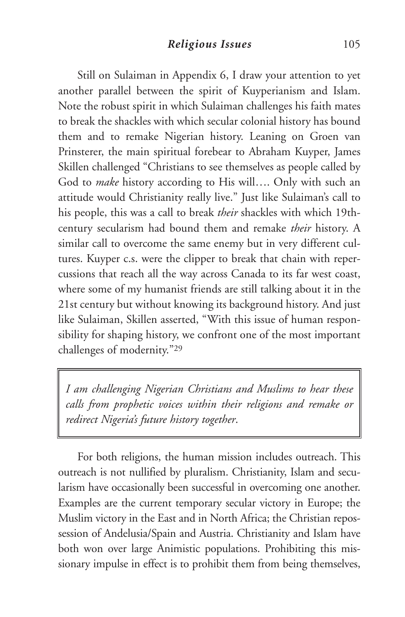Still on Sulaiman in Appendix 6, I draw your attention to yet another parallel between the spirit of Kuyperianism and Islam. Note the robust spirit in which Sulaiman challenges his faith mates to break the shackles with which secular colonial history has bound them and to remake Nigerian history. Leaning on Groen van Prinsterer, the main spiritual forebear to Abraham Kuyper, James Skillen challenged "Christians to see themselves as people called by God to *make* history according to His will…. Only with such an attitude would Christianity really live." Just like Sulaiman's call to his people, this was a call to break *their* shackles with which 19thcentury secularism had bound them and remake *their* history. A similar call to overcome the same enemy but in very different cultures. Kuyper c.s. were the clipper to break that chain with repercussions that reach all the way across Canada to its far west coast, where some of my humanist friends are still talking about it in the 21st century but without knowing its background history. And just like Sulaiman, Skillen asserted, "With this issue of human responsibility for shaping history, we confront one of the most important challenges of modernity."29

*I am challenging Nigerian Christians and Muslims to hear these calls from prophetic voices within their religions and remake or redirect Nigeria's future history together*.

For both religions, the human mission includes outreach. This outreach is not nullified by pluralism. Christianity, Islam and secularism have occasionally been successful in overcoming one another. Examples are the current temporary secular victory in Europe; the Muslim victory in the East and in North Africa; the Christian repossession of Andelusia/Spain and Austria. Christianity and Islam have both won over large Animistic populations. Prohibiting this missionary impulse in effect is to prohibit them from being themselves,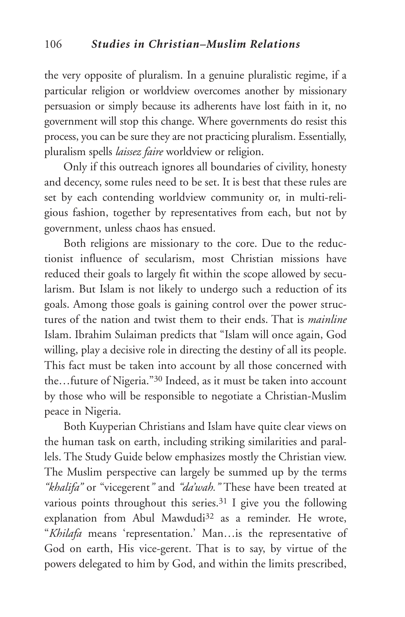the very opposite of pluralism. In a genuine pluralistic regime, if a particular religion or worldview overcomes another by missionary persuasion or simply because its adherents have lost faith in it, no government will stop this change. Where governments do resist this process, you can be sure they are not practicing pluralism. Essentially, pluralism spells *laissez faire* worldview or religion.

Only if this outreach ignores all boundaries of civility, honesty and decency, some rules need to be set. It is best that these rules are set by each contending worldview community or, in multi-religious fashion, together by representatives from each, but not by government, unless chaos has ensued.

Both religions are missionary to the core. Due to the reductionist influence of secularism, most Christian missions have reduced their goals to largely fit within the scope allowed by secularism. But Islam is not likely to undergo such a reduction of its goals. Among those goals is gaining control over the power structures of the nation and twist them to their ends. That is *mainline* Islam. Ibrahim Sulaiman predicts that "Islam will once again, God willing, play a decisive role in directing the destiny of all its people. This fact must be taken into account by all those concerned with the…future of Nigeria."30 Indeed, as it must be taken into account by those who will be responsible to negotiate a Christian-Muslim peace in Nigeria.

Both Kuyperian Christians and Islam have quite clear views on the human task on earth, including striking similarities and parallels. The Study Guide below emphasizes mostly the Christian view. The Muslim perspective can largely be summed up by the terms *"khalifa"* or "vicegerent*"* and *"da'wah."* These have been treated at various points throughout this series.<sup>31</sup> I give you the following explanation from Abul Mawdudi<sup>32</sup> as a reminder. He wrote, "*Khilafa* means 'representation.' Man…is the representative of God on earth, His vice-gerent. That is to say, by virtue of the powers delegated to him by God, and within the limits prescribed,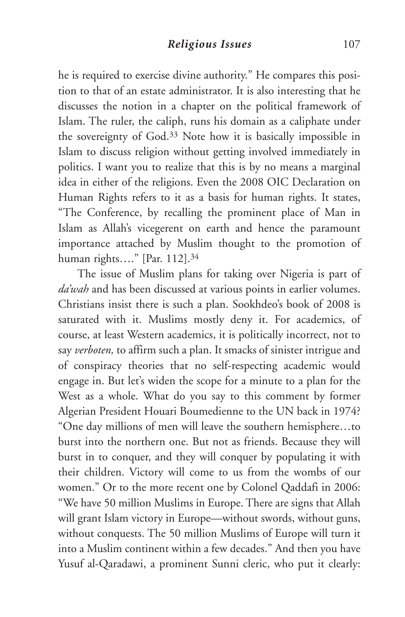he is required to exercise divine authority." He compares this position to that of an estate administrator. It is also interesting that he discusses the notion in a chapter on the political framework of Islam. The ruler, the caliph, runs his domain as a caliphate under the sovereignty of God.33 Note how it is basically impossible in Islam to discuss religion without getting involved immediately in politics. I want you to realize that this is by no means a marginal idea in either of the religions. Even the 2008 OIC Declaration on Human Rights refers to it as a basis for human rights. It states, "The Conference, by recalling the prominent place of Man in Islam as Allah's vicegerent on earth and hence the paramount importance attached by Muslim thought to the promotion of human rights…." [Par. 112].34

The issue of Muslim plans for taking over Nigeria is part of *da'wah* and has been discussed at various points in earlier volumes. Christians insist there is such a plan. Sookhdeo's book of 2008 is saturated with it. Muslims mostly deny it. For academics, of course, at least Western academics, it is politically incorrect, not to say *verboten,* to affirm such a plan. It smacks of sinister intrigue and of conspiracy theories that no self-respecting academic would engage in. But let's widen the scope for a minute to a plan for the West as a whole. What do you say to this comment by former Algerian President Houari Boumedienne to the UN back in 1974? "One day millions of men will leave the southern hemisphere…to burst into the northern one. But not as friends. Because they will burst in to conquer, and they will conquer by populating it with their children. Victory will come to us from the wombs of our women." Or to the more recent one by Colonel Qaddafi in 2006: "We have 50 million Muslims in Europe. There are signs that Allah will grant Islam victory in Europe—without swords, without guns, without conquests. The 50 million Muslims of Europe will turn it into a Muslim continent within a few decades." And then you have Yusuf al-Qaradawi, a prominent Sunni cleric, who put it clearly: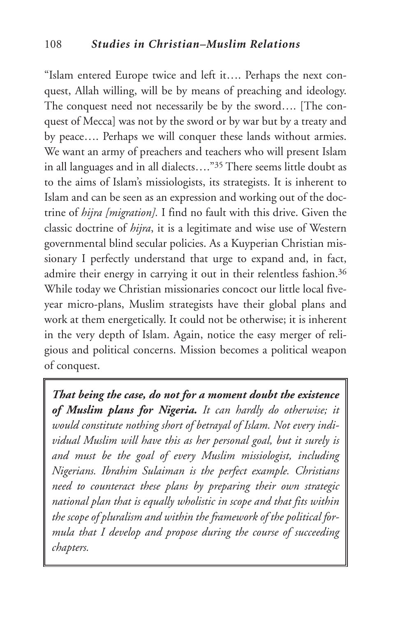"Islam entered Europe twice and left it…. Perhaps the next conquest, Allah willing, will be by means of preaching and ideology. The conquest need not necessarily be by the sword…. [The conquest of Mecca] was not by the sword or by war but by a treaty and by peace…. Perhaps we will conquer these lands without armies. We want an army of preachers and teachers who will present Islam in all languages and in all dialects…."35 There seems little doubt as to the aims of Islam's missiologists, its strategists. It is inherent to Islam and can be seen as an expression and working out of the doctrine of *hijra [migration].* I find no fault with this drive. Given the classic doctrine of *hijra*, it is a legitimate and wise use of Western governmental blind secular policies. As a Kuyperian Christian missionary I perfectly understand that urge to expand and, in fact, admire their energy in carrying it out in their relentless fashion.<sup>36</sup> While today we Christian missionaries concoct our little local fiveyear micro-plans, Muslim strategists have their global plans and work at them energetically. It could not be otherwise; it is inherent in the very depth of Islam. Again, notice the easy merger of religious and political concerns. Mission becomes a political weapon of conquest.

*That being the case, do not for a moment doubt the existence of Muslim plans for Nigeria. It can hardly do otherwise; it would constitute nothing short of betrayal of Islam. Not every individual Muslim will have this as her personal goal, but it surely is and must be the goal of every Muslim missiologist, including Nigerians. Ibrahim Sulaiman is the perfect example. Christians need to counteract these plans by preparing their own strategic national plan that is equally wholistic in scope and that fits within the scope of pluralism and within the framework of the political formula that I develop and propose during the course of succeeding chapters.*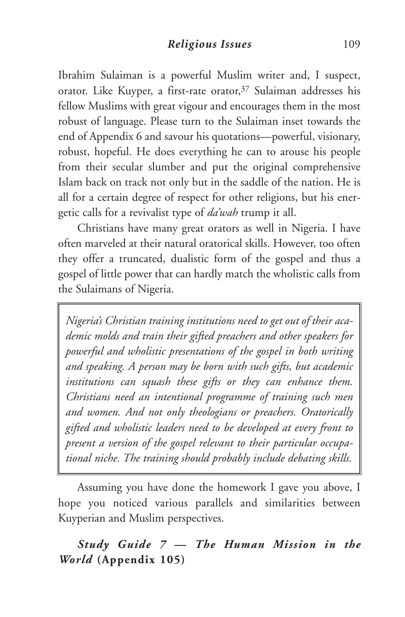Ibrahim Sulaiman is a powerful Muslim writer and, I suspect, orator. Like Kuyper, a first-rate orator,<sup>37</sup> Sulaiman addresses his fellow Muslims with great vigour and encourages them in the most robust of language. Please turn to the Sulaiman inset towards the end of Appendix 6 and savour his quotations—powerful, visionary, robust, hopeful. He does everything he can to arouse his people from their secular slumber and put the original comprehensive Islam back on track not only but in the saddle of the nation. He is all for a certain degree of respect for other religions, but his energetic calls for a revivalist type of *da'wah* trump it all.

Christians have many great orators as well in Nigeria. I have often marveled at their natural oratorical skills. However, too often they offer a truncated, dualistic form of the gospel and thus a gospel of little power that can hardly match the wholistic calls from the Sulaimans of Nigeria.

*Nigeria's Christian training institutions need to get out of their academic molds and train their gifted preachers and other speakers for powerful and wholistic presentations of the gospel in both writing and speaking. A person may be born with such gifts, but academic institutions can squash these gifts or they can enhance them. Christians need an intentional programme of training such men and women. And not only theologians or preachers. Oratorically gifted and wholistic leaders need to be developed at every front to present a version of the gospel relevant to their particular occupational niche. The training should probably include debating skills.*

Assuming you have done the homework I gave you above, I hope you noticed various parallels and similarities between Kuyperian and Muslim perspectives.

## *Study Guide 7 — The Human Mission in the World* **(Appendix 105)**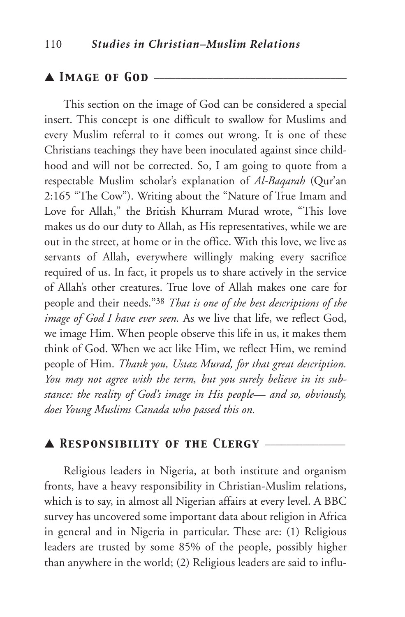#### ▲ *Image of God* \_\_\_\_\_\_\_\_\_\_\_\_\_\_\_\_\_\_\_\_\_\_\_\_\_\_\_\_\_\_\_\_\_\_\_\_

This section on the image of God can be considered a special insert. This concept is one difficult to swallow for Muslims and every Muslim referral to it comes out wrong. It is one of these Christians teachings they have been inoculated against since childhood and will not be corrected. So, I am going to quote from a respectable Muslim scholar's explanation of *Al-Baqarah* (Qur'an 2:165 "The Cow"). Writing about the "Nature of True Imam and Love for Allah," the British Khurram Murad wrote, "This love makes us do our duty to Allah, as His representatives, while we are out in the street, at home or in the office. With this love, we live as servants of Allah, everywhere willingly making every sacrifice required of us. In fact, it propels us to share actively in the service of Allah's other creatures. True love of Allah makes one care for people and their needs."38 *That is one of the best descriptions of the image of God I have ever seen.* As we live that life, we reflect God, we image Him. When people observe this life in us, it makes them think of God. When we act like Him, we reflect Him, we remind people of Him. *Thank you, Ustaz Murad, for that great description. You may not agree with the term, but you surely believe in its substance: the reality of God's image in His people— and so, obviously, does Young Muslims Canada who passed this on.*

### ▲ *Responsibility of the Clergy* \_\_\_\_\_\_\_\_\_\_\_\_\_\_\_

Religious leaders in Nigeria, at both institute and organism fronts, have a heavy responsibility in Christian-Muslim relations, which is to say, in almost all Nigerian affairs at every level. A BBC survey has uncovered some important data about religion in Africa in general and in Nigeria in particular. These are: (1) Religious leaders are trusted by some 85% of the people, possibly higher than anywhere in the world; (2) Religious leaders are said to influ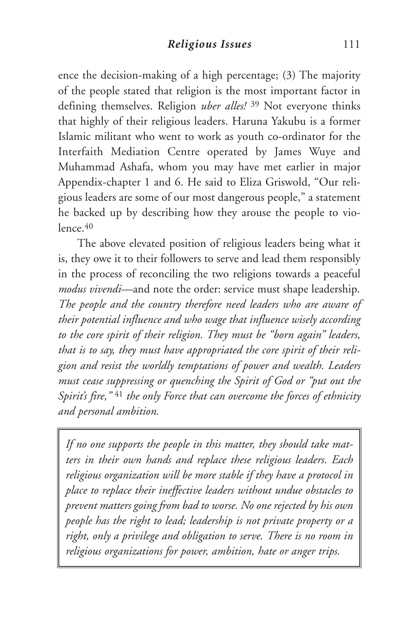ence the decision-making of a high percentage; (3) The majority of the people stated that religion is the most important factor in defining themselves. Religion *uber alles!* <sup>39</sup> Not everyone thinks that highly of their religious leaders. Haruna Yakubu is a former Islamic militant who went to work as youth co-ordinator for the Interfaith Mediation Centre operated by James Wuye and Muhammad Ashafa, whom you may have met earlier in major Appendix-chapter 1 and 6. He said to Eliza Griswold, "Our religious leaders are some of our most dangerous people," a statement he backed up by describing how they arouse the people to vio $l$ ence  $40$ 

The above elevated position of religious leaders being what it is, they owe it to their followers to serve and lead them responsibly in the process of reconciling the two religions towards a peaceful *modus vivendi*—and note the order: service must shape leadership. *The people and the country therefore need leaders who are aware of their potential influence and who wage that influence wisely according to the core spirit of their religion. They must be "born again" leaders, that is to say, they must have appropriated the core spirit of their religion and resist the worldly temptations of power and wealth. Leaders must cease suppressing or quenching the Spirit of God or "put out the Spirit's fire,"* <sup>41</sup> *the only Force that can overcome the forces of ethnicity and personal ambition.*

*If no one supports the people in this matter, they should take matters in their own hands and replace these religious leaders. Each religious organization will be more stable if they have a protocol in place to replace their ineffective leaders without undue obstacles to prevent matters going from bad to worse. No one rejected by his own people has the right to lead; leadership is not private property or a right, only a privilege and obligation to serve. There is no room in religious organizations for power, ambition, hate or anger trips.*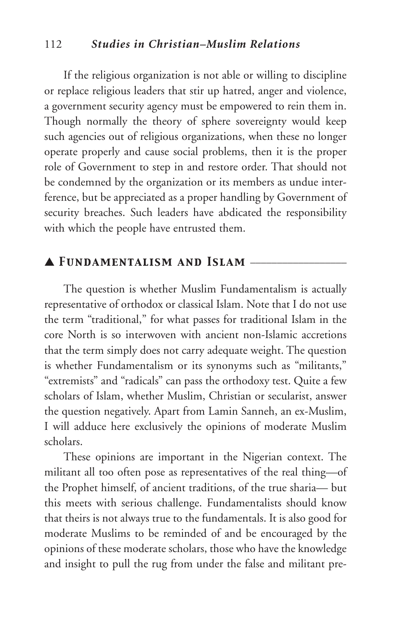#### 112 *Studies in Christian–Muslim Relations*

If the religious organization is not able or willing to discipline or replace religious leaders that stir up hatred, anger and violence, a government security agency must be empowered to rein them in. Though normally the theory of sphere sovereignty would keep such agencies out of religious organizations, when these no longer operate properly and cause social problems, then it is the proper role of Government to step in and restore order. That should not be condemned by the organization or its members as undue interference, but be appreciated as a proper handling by Government of security breaches. Such leaders have abdicated the responsibility with which the people have entrusted them.

#### ▲ *Fundamentalism and Islam* \_\_\_\_\_\_\_\_\_\_\_\_\_\_\_\_\_\_

The question is whether Muslim Fundamentalism is actually representative of orthodox or classical Islam. Note that I do not use the term "traditional," for what passes for traditional Islam in the core North is so interwoven with ancient non-Islamic accretions that the term simply does not carry adequate weight. The question is whether Fundamentalism or its synonyms such as "militants," "extremists" and "radicals" can pass the orthodoxy test. Quite a few scholars of Islam, whether Muslim, Christian or secularist, answer the question negatively. Apart from Lamin Sanneh, an ex-Muslim, I will adduce here exclusively the opinions of moderate Muslim scholars.

These opinions are important in the Nigerian context. The militant all too often pose as representatives of the real thing—of the Prophet himself, of ancient traditions, of the true sharia— but this meets with serious challenge. Fundamentalists should know that theirs is not always true to the fundamentals. It is also good for moderate Muslims to be reminded of and be encouraged by the opinions of these moderate scholars, those who have the knowledge and insight to pull the rug from under the false and militant pre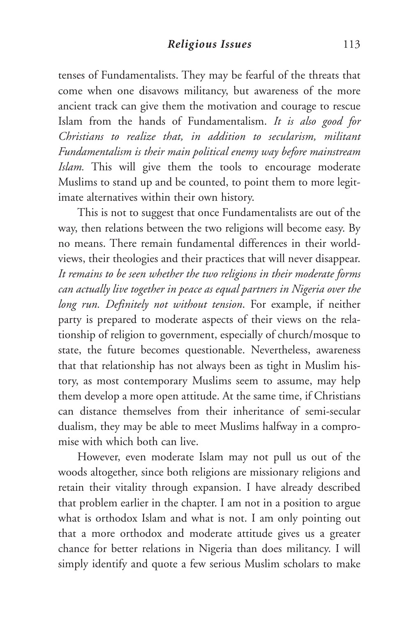tenses of Fundamentalists. They may be fearful of the threats that come when one disavows militancy, but awareness of the more ancient track can give them the motivation and courage to rescue Islam from the hands of Fundamentalism. *It is also good for Christians to realize that, in addition to secularism, militant Fundamentalism is their main political enemy way before mainstream Islam.* This will give them the tools to encourage moderate Muslims to stand up and be counted, to point them to more legitimate alternatives within their own history.

This is not to suggest that once Fundamentalists are out of the way, then relations between the two religions will become easy. By no means. There remain fundamental differences in their worldviews, their theologies and their practices that will never disappear. *It remains to be seen whether the two religions in their moderate forms can actually live together in peace as equal partners in Nigeria over the long run. Definitely not without tension*. For example, if neither party is prepared to moderate aspects of their views on the relationship of religion to government, especially of church/mosque to state, the future becomes questionable. Nevertheless, awareness that that relationship has not always been as tight in Muslim history, as most contemporary Muslims seem to assume, may help them develop a more open attitude. At the same time, if Christians can distance themselves from their inheritance of semi-secular dualism, they may be able to meet Muslims halfway in a compromise with which both can live.

However, even moderate Islam may not pull us out of the woods altogether, since both religions are missionary religions and retain their vitality through expansion. I have already described that problem earlier in the chapter. I am not in a position to argue what is orthodox Islam and what is not. I am only pointing out that a more orthodox and moderate attitude gives us a greater chance for better relations in Nigeria than does militancy. I will simply identify and quote a few serious Muslim scholars to make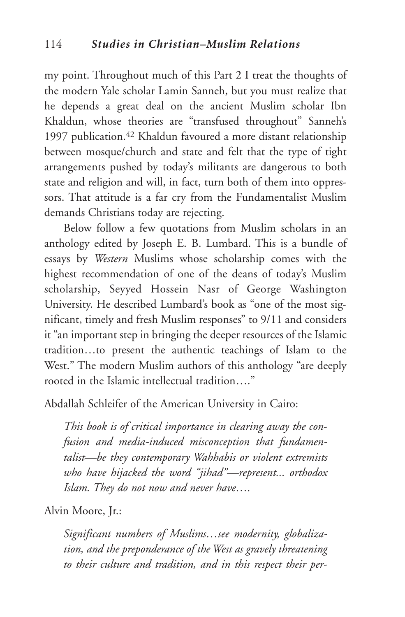my point. Throughout much of this Part 2 I treat the thoughts of the modern Yale scholar Lamin Sanneh, but you must realize that he depends a great deal on the ancient Muslim scholar Ibn Khaldun, whose theories are "transfused throughout" Sanneh's 1997 publication.42 Khaldun favoured a more distant relationship between mosque/church and state and felt that the type of tight arrangements pushed by today's militants are dangerous to both state and religion and will, in fact, turn both of them into oppressors. That attitude is a far cry from the Fundamentalist Muslim demands Christians today are rejecting.

Below follow a few quotations from Muslim scholars in an anthology edited by Joseph E. B. Lumbard. This is a bundle of essays by *Western* Muslims whose scholarship comes with the highest recommendation of one of the deans of today's Muslim scholarship, Seyyed Hossein Nasr of George Washington University. He described Lumbard's book as "one of the most significant, timely and fresh Muslim responses" to 9/11 and considers it "an important step in bringing the deeper resources of the Islamic tradition…to present the authentic teachings of Islam to the West." The modern Muslim authors of this anthology "are deeply rooted in the Islamic intellectual tradition…."

Abdallah Schleifer of the American University in Cairo:

*This book is of critical importance in clearing away the confusion and media-induced misconception that fundamentalist—be they contemporary Wahhabis or violent extremists who have hijacked the word "jihad"—represent... orthodox Islam. They do not now and never have….*

Alvin Moore, Jr.:

*Significant numbers of Muslims…see modernity, globalization, and the preponderance of the West as gravely threatening to their culture and tradition, and in this respect their per-*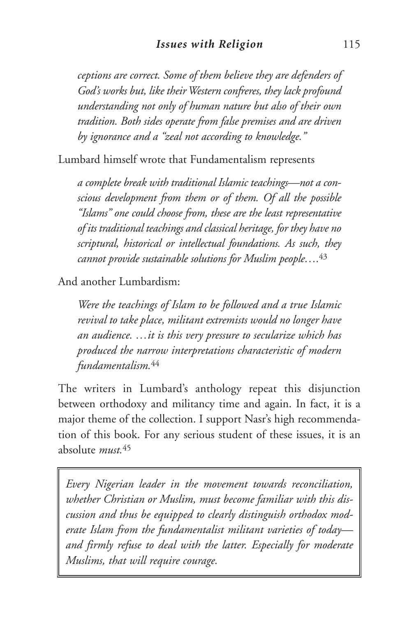*ceptions are correct. Some of them believe they are defenders of God's works but, like theirWestern confreres, they lack profound understanding not only of human nature but also of their own tradition. Both sides operate from false premises and are driven by ignorance and a "zeal not according to knowledge."*

Lumbard himself wrote that Fundamentalism represents

*a complete break with traditional Islamic teachings—not a conscious development from them or of them. Of all the possible "Islams" one could choose from, these are the least representative of its traditional teachings and classical heritage, for they have no scriptural, historical or intellectual foundations. As such, they cannot provide sustainable solutions for Muslim people….* 43

And another Lumbardism:

*Were the teachings of Islam to be followed and a true Islamic revival to take place, militant extremists would no longer have an audience. …it is this very pressure to secularize which has produced the narrow interpretations characteristic of modern fundamentalism.*<sup>44</sup>

The writers in Lumbard's anthology repeat this disjunction between orthodoxy and militancy time and again. In fact, it is a major theme of the collection. I support Nasr's high recommendation of this book. For any serious student of these issues, it is an absolute *must.*<sup>45</sup>

*Every Nigerian leader in the movement towards reconciliation, whether Christian or Muslim, must become familiar with this discussion and thus be equipped to clearly distinguish orthodox moderate Islam from the fundamentalist militant varieties of today and firmly refuse to deal with the latter. Especially for moderate Muslims, that will require courage.*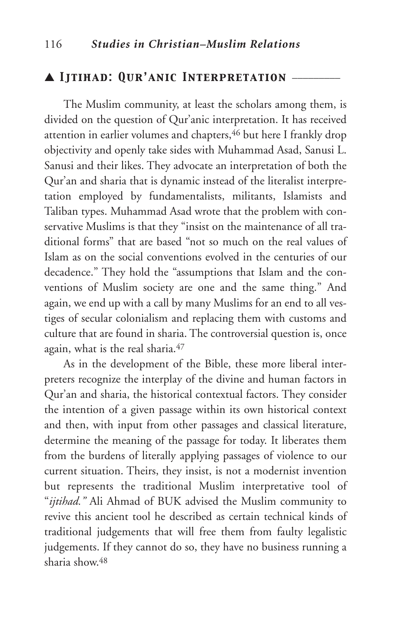## ▲ *Ijtihad: Qur'anic Interpretation* \_\_\_\_\_\_\_\_\_

The Muslim community, at least the scholars among them, is divided on the question of Qur'anic interpretation. It has received attention in earlier volumes and chapters, 46 but here I frankly drop objectivity and openly take sides with Muhammad Asad, Sanusi L. Sanusi and their likes. They advocate an interpretation of both the Qur'an and sharia that is dynamic instead of the literalist interpretation employed by fundamentalists, militants, Islamists and Taliban types. Muhammad Asad wrote that the problem with conservative Muslims is that they "insist on the maintenance of all traditional forms" that are based "not so much on the real values of Islam as on the social conventions evolved in the centuries of our decadence." They hold the "assumptions that Islam and the conventions of Muslim society are one and the same thing." And again, we end up with a call by many Muslims for an end to all vestiges of secular colonialism and replacing them with customs and culture that are found in sharia. The controversial question is, once again, what is the real sharia.47

As in the development of the Bible, these more liberal interpreters recognize the interplay of the divine and human factors in Qur'an and sharia, the historical contextual factors. They consider the intention of a given passage within its own historical context and then, with input from other passages and classical literature, determine the meaning of the passage for today. It liberates them from the burdens of literally applying passages of violence to our current situation. Theirs, they insist, is not a modernist invention but represents the traditional Muslim interpretative tool of "*ijtihad."* Ali Ahmad of BUK advised the Muslim community to revive this ancient tool he described as certain technical kinds of traditional judgements that will free them from faulty legalistic judgements. If they cannot do so, they have no business running a sharia show.48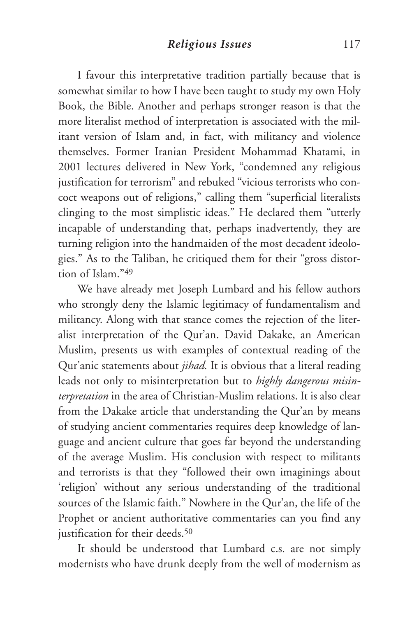I favour this interpretative tradition partially because that is somewhat similar to how I have been taught to study my own Holy Book, the Bible. Another and perhaps stronger reason is that the more literalist method of interpretation is associated with the militant version of Islam and, in fact, with militancy and violence themselves. Former Iranian President Mohammad Khatami, in 2001 lectures delivered in New York, "condemned any religious justification for terrorism" and rebuked "vicious terrorists who concoct weapons out of religions," calling them "superficial literalists clinging to the most simplistic ideas." He declared them "utterly incapable of understanding that, perhaps inadvertently, they are turning religion into the handmaiden of the most decadent ideologies." As to the Taliban, he critiqued them for their "gross distortion of Islam<sup>"49</sup>

We have already met Joseph Lumbard and his fellow authors who strongly deny the Islamic legitimacy of fundamentalism and militancy. Along with that stance comes the rejection of the literalist interpretation of the Qur'an. David Dakake, an American Muslim, presents us with examples of contextual reading of the Qur'anic statements about *jihad.* It is obvious that a literal reading leads not only to misinterpretation but to *highly dangerous misinterpretation* in the area of Christian-Muslim relations. It is also clear from the Dakake article that understanding the Qur'an by means of studying ancient commentaries requires deep knowledge of language and ancient culture that goes far beyond the understanding of the average Muslim. His conclusion with respect to militants and terrorists is that they "followed their own imaginings about 'religion' without any serious understanding of the traditional sources of the Islamic faith." Nowhere in the Qur'an, the life of the Prophet or ancient authoritative commentaries can you find any justification for their deeds.<sup>50</sup>

It should be understood that Lumbard c.s. are not simply modernists who have drunk deeply from the well of modernism as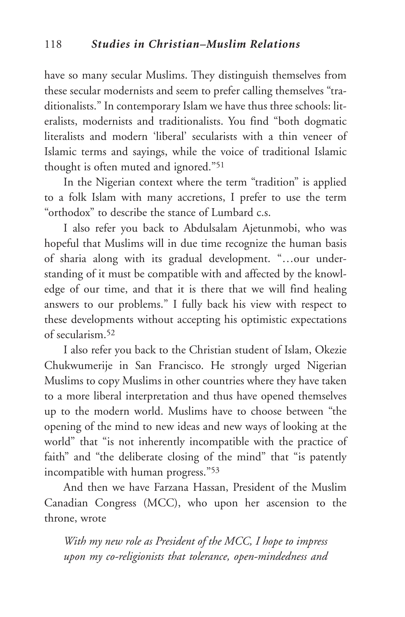have so many secular Muslims. They distinguish themselves from these secular modernists and seem to prefer calling themselves "traditionalists." In contemporary Islam we have thus three schools: literalists, modernists and traditionalists. You find "both dogmatic literalists and modern 'liberal' secularists with a thin veneer of Islamic terms and sayings, while the voice of traditional Islamic thought is often muted and ignored."51

In the Nigerian context where the term "tradition" is applied to a folk Islam with many accretions, I prefer to use the term "orthodox" to describe the stance of Lumbard c.s.

I also refer you back to Abdulsalam Ajetunmobi, who was hopeful that Muslims will in due time recognize the human basis of sharia along with its gradual development. "…our understanding of it must be compatible with and affected by the knowledge of our time, and that it is there that we will find healing answers to our problems." I fully back his view with respect to these developments without accepting his optimistic expectations of secularism.52

I also refer you back to the Christian student of Islam, Okezie Chukwumerije in San Francisco. He strongly urged Nigerian Muslims to copy Muslims in other countries where they have taken to a more liberal interpretation and thus have opened themselves up to the modern world. Muslims have to choose between "the opening of the mind to new ideas and new ways of looking at the world" that "is not inherently incompatible with the practice of faith" and "the deliberate closing of the mind" that "is patently incompatible with human progress."53

And then we have Farzana Hassan, President of the Muslim Canadian Congress (MCC), who upon her ascension to the throne, wrote

*With my new role as President of the MCC, I hope to impress upon my co-religionists that tolerance, open-mindedness and*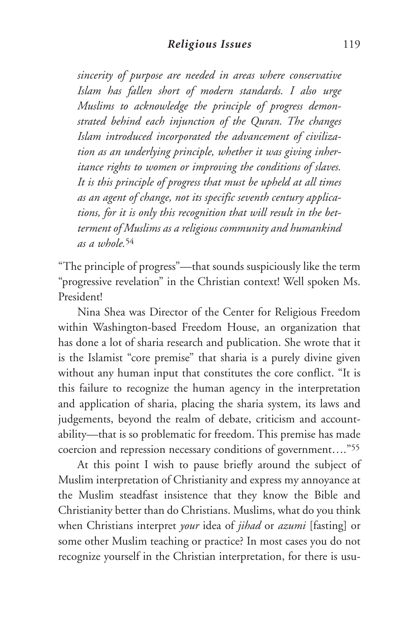*sincerity of purpose are needed in areas where conservative Islam has fallen short of modern standards. I also urge Muslims to acknowledge the principle of progress demonstrated behind each injunction of the Quran. The changes Islam introduced incorporated the advancement of civilization as an underlying principle, whether it was giving inheritance rights to women or improving the conditions of slaves. It is this principle of progress that must be upheld at all times as an agent of change, not its specific seventh century applications, for it is only this recognition that will result in the betterment of Muslims as a religious community and humankind as a whole.*<sup>54</sup>

"The principle of progress"—that sounds suspiciously like the term "progressive revelation" in the Christian context! Well spoken Ms. President!

Nina Shea was Director of the Center for Religious Freedom within Washington-based Freedom House, an organization that has done a lot of sharia research and publication. She wrote that it is the Islamist "core premise" that sharia is a purely divine given without any human input that constitutes the core conflict. "It is this failure to recognize the human agency in the interpretation and application of sharia, placing the sharia system, its laws and judgements, beyond the realm of debate, criticism and accountability—that is so problematic for freedom. This premise has made coercion and repression necessary conditions of government…."55

At this point I wish to pause briefly around the subject of Muslim interpretation of Christianity and express my annoyance at the Muslim steadfast insistence that they know the Bible and Christianity better than do Christians. Muslims, what do you think when Christians interpret *your* idea of *jihad* or *azumi* [fasting] or some other Muslim teaching or practice? In most cases you do not recognize yourself in the Christian interpretation, for there is usu-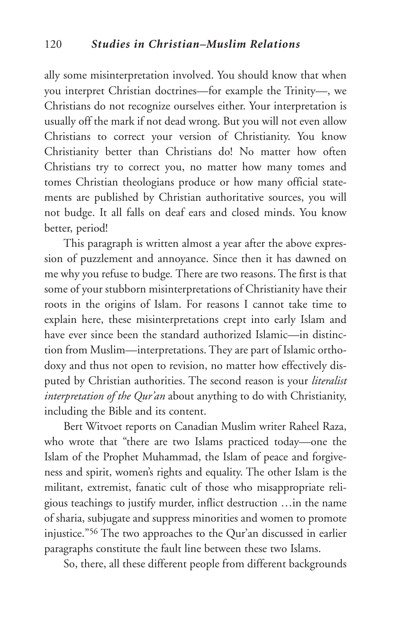ally some misinterpretation involved. You should know that when you interpret Christian doctrines—for example the Trinity—, we Christians do not recognize ourselves either. Your interpretation is usually off the mark if not dead wrong. But you will not even allow Christians to correct your version of Christianity. You know Christianity better than Christians do! No matter how often Christians try to correct you, no matter how many tomes and tomes Christian theologians produce or how many official statements are published by Christian authoritative sources, you will not budge. It all falls on deaf ears and closed minds. You know better, period!

This paragraph is written almost a year after the above expression of puzzlement and annoyance. Since then it has dawned on me why you refuse to budge*.* There are two reasons. The first is that some of your stubborn misinterpretations of Christianity have their roots in the origins of Islam. For reasons I cannot take time to explain here, these misinterpretations crept into early Islam and have ever since been the standard authorized Islamic—in distinction from Muslim—interpretations. They are part of Islamic orthodoxy and thus not open to revision, no matter how effectively disputed by Christian authorities. The second reason is your *literalist interpretation of the Qur'an* about anything to do with Christianity, including the Bible and its content.

Bert Witvoet reports on Canadian Muslim writer Raheel Raza, who wrote that "there are two Islams practiced today—one the Islam of the Prophet Muhammad, the Islam of peace and forgiveness and spirit, women's rights and equality. The other Islam is the militant, extremist, fanatic cult of those who misappropriate religious teachings to justify murder, inflict destruction …in the name of sharia, subjugate and suppress minorities and women to promote injustice."56 The two approaches to the Qur'an discussed in earlier paragraphs constitute the fault line between these two Islams.

So, there, all these different people from different backgrounds